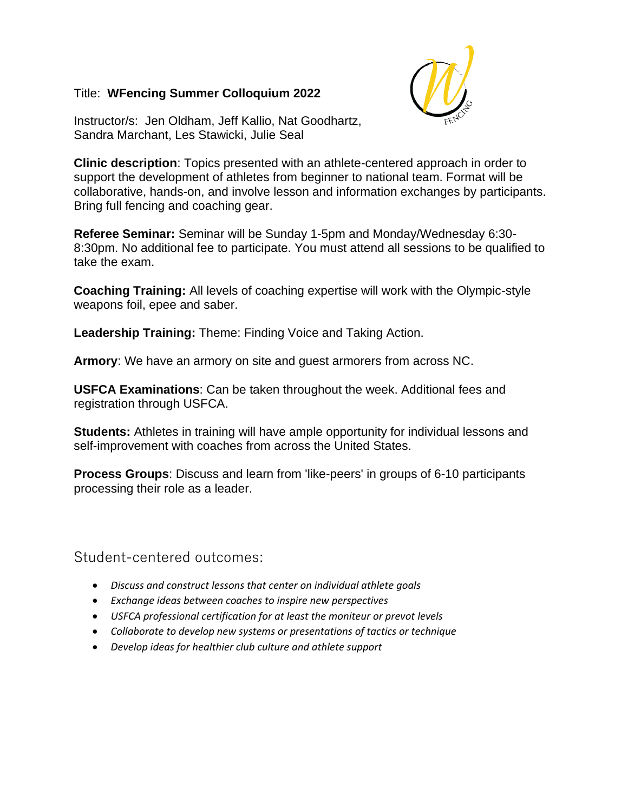### Title: **WFencing Summer Colloquium 2022**



Instructor/s: Jen Oldham, Jeff Kallio, Nat Goodhartz, Sandra Marchant, Les Stawicki, Julie Seal

**Clinic description**: Topics presented with an athlete-centered approach in order to support the development of athletes from beginner to national team. Format will be collaborative, hands-on, and involve lesson and information exchanges by participants. Bring full fencing and coaching gear.

**Referee Seminar:** Seminar will be Sunday 1-5pm and Monday/Wednesday 6:30- 8:30pm. No additional fee to participate. You must attend all sessions to be qualified to take the exam.

**Coaching Training:** All levels of coaching expertise will work with the Olympic-style weapons foil, epee and saber.

**Leadership Training:** Theme: Finding Voice and Taking Action.

**Armory**: We have an armory on site and guest armorers from across NC.

**USFCA Examinations**: Can be taken throughout the week. Additional fees and registration through USFCA.

**Students:** Athletes in training will have ample opportunity for individual lessons and self-improvement with coaches from across the United States.

**Process Groups**: Discuss and learn from 'like-peers' in groups of 6-10 participants processing their role as a leader.

Student-centered outcomes:

- *Discuss and construct lessons that center on individual athlete goals*
- *Exchange ideas between coaches to inspire new perspectives*
- *USFCA professional certification for at least the moniteur or prevot levels*
- *Collaborate to develop new systems or presentations of tactics or technique*
- *Develop ideas for healthier club culture and athlete support*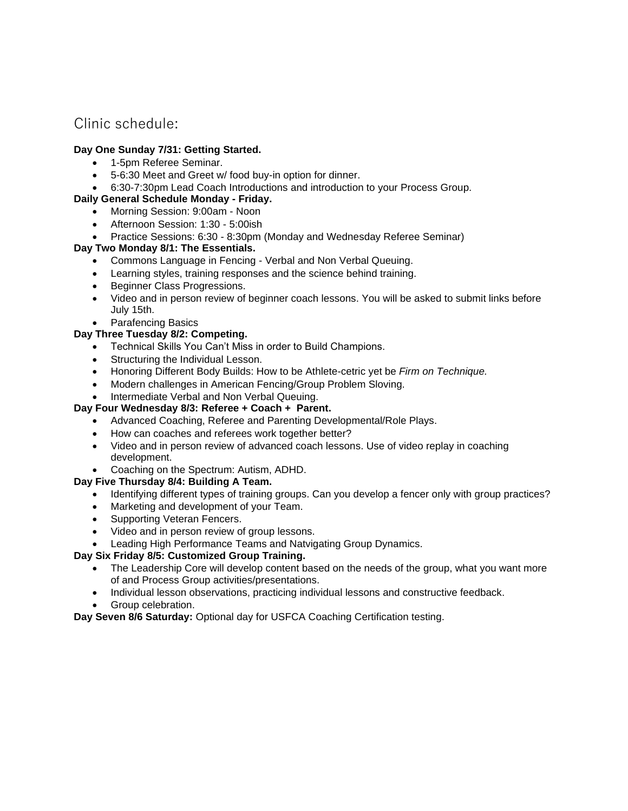## Clinic schedule:

#### **Day One Sunday 7/31: Getting Started.**

- 1-5pm Referee Seminar.
- 5-6:30 Meet and Greet w/ food buy-in option for dinner.
- 6:30-7:30pm Lead Coach Introductions and introduction to your Process Group.

#### **Daily General Schedule Monday - Friday.**

- Morning Session: 9:00am Noon
- Afternoon Session: 1:30 5:00ish
- Practice Sessions: 6:30 8:30pm (Monday and Wednesday Referee Seminar)

#### **Day Two Monday 8/1: The Essentials.**

- Commons Language in Fencing Verbal and Non Verbal Queuing.
- Learning styles, training responses and the science behind training.
- Beginner Class Progressions.
- Video and in person review of beginner coach lessons. You will be asked to submit links before July 15th.
- Parafencing Basics

#### **Day Three Tuesday 8/2: Competing.**

- Technical Skills You Can't Miss in order to Build Champions.
- Structuring the Individual Lesson.
- Honoring Different Body Builds: How to be Athlete-cetric yet be *Firm on Technique.*
- Modern challenges in American Fencing/Group Problem Sloving.
- Intermediate Verbal and Non Verbal Queuing.

#### **Day Four Wednesday 8/3: Referee + Coach + Parent.**

- Advanced Coaching, Referee and Parenting Developmental/Role Plays.
- How can coaches and referees work together better?
- Video and in person review of advanced coach lessons. Use of video replay in coaching development.
- Coaching on the Spectrum: Autism, ADHD.

#### **Day Five Thursday 8/4: Building A Team.**

- Identifying different types of training groups. Can you develop a fencer only with group practices?
- Marketing and development of your Team.
- Supporting Veteran Fencers.
- Video and in person review of group lessons.
- Leading High Performance Teams and Natvigating Group Dynamics.

#### **Day Six Friday 8/5: Customized Group Training.**

- The Leadership Core will develop content based on the needs of the group, what you want more of and Process Group activities/presentations.
- Individual lesson observations, practicing individual lessons and constructive feedback.
- Group celebration.

**Day Seven 8/6 Saturday:** Optional day for USFCA Coaching Certification testing.